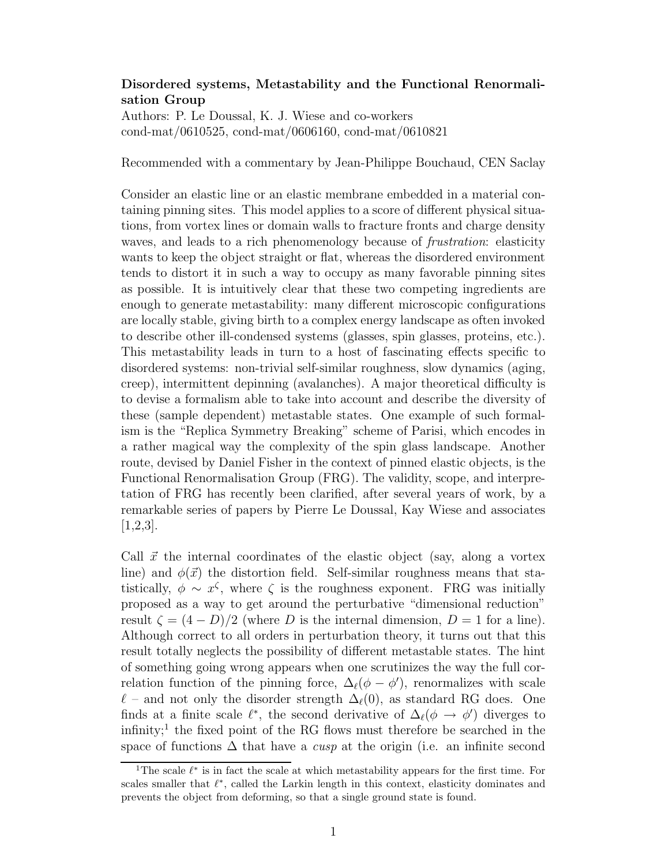## Disordered systems, Metastability and the Functional Renormalisation Group

Authors: P. Le Doussal, K. J. Wiese and co-workers cond-mat/0610525, cond-mat/0606160, cond-mat/0610821

Recommended with a commentary by Jean-Philippe Bouchaud, CEN Saclay

Consider an elastic line or an elastic membrane embedded in a material containing pinning sites. This model applies to a score of different physical situations, from vortex lines or domain walls to fracture fronts and charge density waves, and leads to a rich phenomenology because of *frustration*: elasticity wants to keep the object straight or flat, whereas the disordered environment tends to distort it in such a way to occupy as many favorable pinning sites as possible. It is intuitively clear that these two competing ingredients are enough to generate metastability: many different microscopic configurations are locally stable, giving birth to a complex energy landscape as often invoked to describe other ill-condensed systems (glasses, spin glasses, proteins, etc.). This metastability leads in turn to a host of fascinating effects specific to disordered systems: non-trivial self-similar roughness, slow dynamics (aging, creep), intermittent depinning (avalanches). A major theoretical difficulty is to devise a formalism able to take into account and describe the diversity of these (sample dependent) metastable states. One example of such formalism is the "Replica Symmetry Breaking" scheme of Parisi, which encodes in a rather magical way the complexity of the spin glass landscape. Another route, devised by Daniel Fisher in the context of pinned elastic objects, is the Functional Renormalisation Group (FRG). The validity, scope, and interpretation of FRG has recently been clarified, after several years of work, by a remarkable series of papers by Pierre Le Doussal, Kay Wiese and associates [1,2,3].

Call  $\vec{x}$  the internal coordinates of the elastic object (say, along a vortex line) and  $\phi(\vec{x})$  the distortion field. Self-similar roughness means that statistically,  $\phi \sim x^{\zeta}$ , where  $\zeta$  is the roughness exponent. FRG was initially proposed as a way to get around the perturbative "dimensional reduction" result  $\zeta = (4 - D)/2$  (where D is the internal dimension,  $D = 1$  for a line). Although correct to all orders in perturbation theory, it turns out that this result totally neglects the possibility of different metastable states. The hint of something going wrong appears when one scrutinizes the way the full correlation function of the pinning force,  $\Delta_{\ell}(\phi - \phi')$ , renormalizes with scale  $\ell$  – and not only the disorder strength  $\Delta_{\ell}(0)$ , as standard RG does. One finds at a finite scale  $\ell^*$ , the second derivative of  $\Delta_{\ell}(\phi \to \phi')$  diverges to infinity;<sup>1</sup> the fixed point of the RG flows must therefore be searched in the space of functions  $\Delta$  that have a *cusp* at the origin (i.e. an infinite second

<sup>&</sup>lt;sup>1</sup>The scale  $\ell^*$  is in fact the scale at which metastability appears for the first time. For scales smaller that  $\ell^*$ , called the Larkin length in this context, elasticity dominates and prevents the object from deforming, so that a single ground state is found.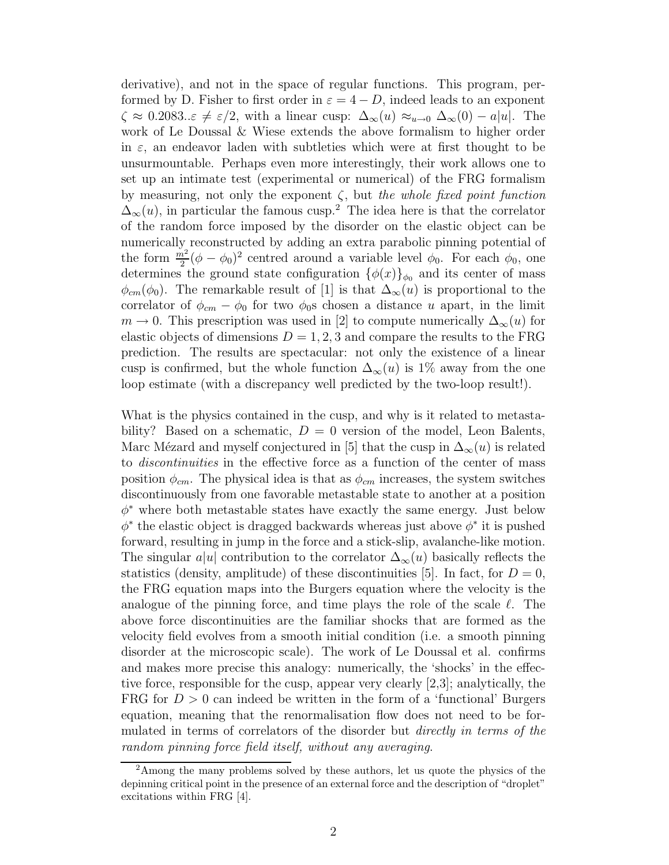derivative), and not in the space of regular functions. This program, performed by D. Fisher to first order in  $\varepsilon = 4 - D$ , indeed leads to an exponent  $\zeta \approx 0.2083$ .. $\varepsilon \neq \varepsilon/2$ , with a linear cusp:  $\Delta_{\infty}(u) \approx_{u \to 0} \Delta_{\infty}(0) - a|u|$ . The work of Le Doussal & Wiese extends the above formalism to higher order in  $\varepsilon$ , an endeavor laden with subtleties which were at first thought to be unsurmountable. Perhaps even more interestingly, their work allows one to set up an intimate test (experimental or numerical) of the FRG formalism by measuring, not only the exponent  $\zeta$ , but the whole fixed point function  $\Delta_{\infty}(u)$ , in particular the famous cusp.<sup>2</sup> The idea here is that the correlator of the random force imposed by the disorder on the elastic object can be numerically reconstructed by adding an extra parabolic pinning potential of the form  $\frac{m^2}{2}(\phi - \phi_0)^2$  centred around a variable level  $\phi_0$ . For each  $\phi_0$ , one determines the ground state configuration  $\{\phi(x)\}_{\phi_0}$  and its center of mass  $\phi_{cm}(\phi_0)$ . The remarkable result of [1] is that  $\Delta_{\infty}(u)$  is proportional to the correlator of  $\phi_{cm} - \phi_0$  for two  $\phi_{0}$ s chosen a distance u apart, in the limit  $m \to 0$ . This prescription was used in [2] to compute numerically  $\Delta_{\infty}(u)$  for elastic objects of dimensions  $D = 1, 2, 3$  and compare the results to the FRG prediction. The results are spectacular: not only the existence of a linear cusp is confirmed, but the whole function  $\Delta_{\infty}(u)$  is 1% away from the one loop estimate (with a discrepancy well predicted by the two-loop result!).

What is the physics contained in the cusp, and why is it related to metastability? Based on a schematic,  $D = 0$  version of the model, Leon Balents, Marc Mézard and myself conjectured in [5] that the cusp in  $\Delta_{\infty}(u)$  is related to discontinuities in the effective force as a function of the center of mass position  $\phi_{cm}$ . The physical idea is that as  $\phi_{cm}$  increases, the system switches discontinuously from one favorable metastable state to another at a position  $\phi^*$  where both metastable states have exactly the same energy. Just below  $\phi^*$  the elastic object is dragged backwards whereas just above  $\phi^*$  it is pushed forward, resulting in jump in the force and a stick-slip, avalanche-like motion. The singular a|u| contribution to the correlator  $\Delta_{\infty}(u)$  basically reflects the statistics (density, amplitude) of these discontinuities [5]. In fact, for  $D=0$ , the FRG equation maps into the Burgers equation where the velocity is the analogue of the pinning force, and time plays the role of the scale  $\ell$ . The above force discontinuities are the familiar shocks that are formed as the velocity field evolves from a smooth initial condition (i.e. a smooth pinning disorder at the microscopic scale). The work of Le Doussal et al. confirms and makes more precise this analogy: numerically, the 'shocks' in the effective force, responsible for the cusp, appear very clearly [2,3]; analytically, the FRG for  $D > 0$  can indeed be written in the form of a 'functional' Burgers equation, meaning that the renormalisation flow does not need to be formulated in terms of correlators of the disorder but directly in terms of the random pinning force field itself, without any averaging.

<sup>&</sup>lt;sup>2</sup>Among the many problems solved by these authors, let us quote the physics of the depinning critical point in the presence of an external force and the description of "droplet" excitations within FRG [4].